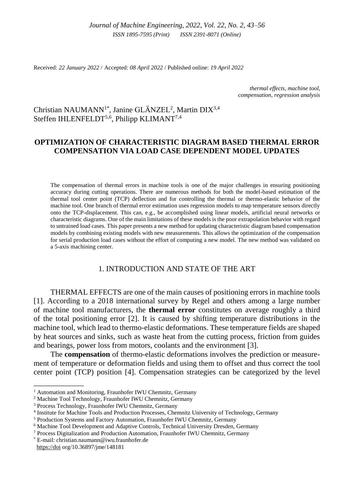Received: *22 January 2022* / Accepted: *08 April 2022* / Published online: *19 April 2022*

*thermal effects, machine tool, compensation, regression analysis*

# Christian NAUMANN<sup>1\*</sup>, Janine GLÄNZEL<sup>2</sup>, Martin DIX<sup>3,4</sup> Steffen IHLENFELDT<sup>5,6</sup>, Philipp KLIMANT<sup>7,4</sup>

## **OPTIMIZATION OF CHARACTERISTIC DIAGRAM BASED THERMAL ERROR COMPENSATION VIA LOAD CASE DEPENDENT MODEL UPDATES**

The compensation of thermal errors in machine tools is one of the major challenges in ensuring positioning accuracy during cutting operations. There are numerous methods for both the model-based estimation of the thermal tool center point (TCP) deflection and for controlling the thermal or thermo-elastic behavior of the machine tool. One branch of thermal error estimation uses regression models to map temperature sensors directly onto the TCP-displacement. This can, e.g., be accomplished using linear models, artificial neural networks or characteristic diagrams. One of the main limitations of these models is the poor extrapolation behavior with regard to untrained load cases. This paper presents a new method for updating characteristic diagram based compensation models by combining existing models with new measurements. This allows the optimization of the compensation for serial production load cases without the effort of computing a new model. The new method was validated on a 5-axis machining center.

# 1. INTRODUCTION AND STATE OF THE ART

THERMAL EFFECTS are one of the main causes of positioning errors in machine tools [1]. According to a 2018 international survey by Regel and others among a large number of machine tool manufacturers, the **thermal error** constitutes on average roughly a third of the total positioning error [2]. It is caused by shifting temperature distributions in the machine tool, which lead to thermo-elastic deformations. These temperature fields are shaped by heat sources and sinks, such as waste heat from the cutting process, friction from guides and bearings, power loss from motors, coolants and the environment [3].

The **compensation** of thermo-elastic deformations involves the prediction or measurement of temperature or deformation fields and using them to offset and thus correct the tool center point (TCP) position [4]. Compensation strategies can be categorized by the level

\_\_\_\_\_\_\_\_\_\_\_\_\_

<sup>&</sup>lt;sup>1</sup> Automation and Monitoring, Fraunhofer IWU Chemnitz, Germany

<sup>2</sup> Machine Tool Technology, Fraunhofer IWU Chemnitz, Germany

<sup>3</sup> Process Technology, Fraunhofer IWU Chemnitz, Germany

<sup>4</sup> Institute for Machine Tools and Production Processes, Chemnitz University of Technology, Germany

<sup>5</sup> Production Systems and Factory Automation, Fraunhofer IWU Chemnitz, Germany

<sup>6</sup> Machine Tool Development and Adaptive Controls, Technical University Dresden, Germany

<sup>7</sup> Process Digitalization and Production Automation, Fraunhofer IWU Chemnitz, Germany

<sup>\*</sup> E-mail: christian.naumann@iwu.fraunhofer.de [https://doi](https://doi/) org/10.36897/jme/148181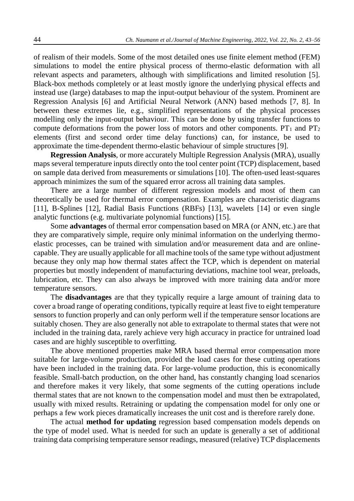of realism of their models. Some of the most detailed ones use finite element method (FEM) simulations to model the entire physical process of thermo-elastic deformation with all relevant aspects and parameters, although with simplifications and limited resolution [5]. Black-box methods completely or at least mostly ignore the underlying physical effects and instead use (large) databases to map the input-output behaviour of the system. Prominent are Regression Analysis [6] and Artificial Neural Network (ANN) based methods [7, 8]. In between these extremes lie, e.g., simplified representations of the physical processes modelling only the input-output behaviour. This can be done by using transfer functions to compute deformations from the power loss of motors and other components.  $PT_1$  and  $PT_2$ elements (first and second order time delay functions) can, for instance, be used to approximate the time-dependent thermo-elastic behaviour of simple structures [9].

**Regression Analysis**, or more accurately Multiple Regression Analysis (MRA), usually maps several temperature inputs directly onto the tool center point (TCP) displacement, based on sample data derived from measurements or simulations [10]. The often-used least-squares approach minimizes the sum of the squared error across all training data samples.

There are a large number of different regression models and most of them can theoretically be used for thermal error compensation. Examples are characteristic diagrams [11], B-Splines [12], Radial Basis Functions (RBFs) [13], wavelets [14] or even single analytic functions (e.g. multivariate polynomial functions) [15].

Some **advantages** of thermal error compensation based on MRA (or ANN, etc.) are that they are comparatively simple, require only minimal information on the underlying thermoelastic processes, can be trained with simulation and/or measurement data and are onlinecapable. They are usually applicable for all machine tools of the same type without adjustment because they only map how thermal states affect the TCP, which is dependent on material properties but mostly independent of manufacturing deviations, machine tool wear, preloads, lubrication, etc. They can also always be improved with more training data and/or more temperature sensors.

The **disadvantages** are that they typically require a large amount of training data to cover a broad range of operating conditions, typically require at least five to eight temperature sensors to function properly and can only perform well if the temperature sensor locations are suitably chosen. They are also generally not able to extrapolate to thermal states that were not included in the training data, rarely achieve very high accuracy in practice for untrained load cases and are highly susceptible to overfitting.

The above mentioned properties make MRA based thermal error compensation more suitable for large-volume production, provided the load cases for these cutting operations have been included in the training data. For large-volume production, this is economically feasible. Small-batch production, on the other hand, has constantly changing load scenarios and therefore makes it very likely, that some segments of the cutting operations include thermal states that are not known to the compensation model and must then be extrapolated, usually with mixed results. Retraining or updating the compensation model for only one or perhaps a few work pieces dramatically increases the unit cost and is therefore rarely done.

The actual **method for updating** regression based compensation models depends on the type of model used. What is needed for such an update is generally a set of additional training data comprising temperature sensor readings, measured (relative) TCP displacements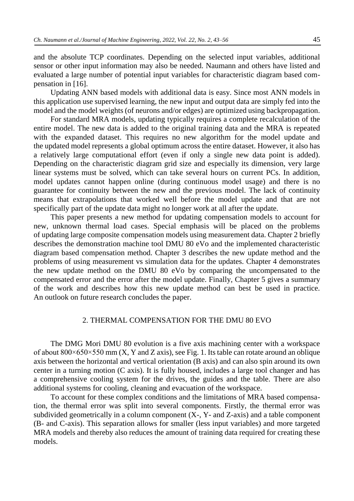and the absolute TCP coordinates. Depending on the selected input variables, additional sensor or other input information may also be needed. Naumann and others have listed and evaluated a large number of potential input variables for characteristic diagram based compensation in [16].

Updating ANN based models with additional data is easy. Since most ANN models in this application use supervised learning, the new input and output data are simply fed into the model and the model weights (of neurons and/or edges) are optimized using backpropagation.

For standard MRA models, updating typically requires a complete recalculation of the entire model. The new data is added to the original training data and the MRA is repeated with the expanded dataset. This requires no new algorithm for the model update and the updated model represents a global optimum across the entire dataset. However, it also has a relatively large computational effort (even if only a single new data point is added). Depending on the characteristic diagram grid size and especially its dimension, very large linear systems must be solved, which can take several hours on current PCs. In addition, model updates cannot happen online (during continuous model usage) and there is no guarantee for continuity between the new and the previous model. The lack of continuity means that extrapolations that worked well before the model update and that are not specifically part of the update data might no longer work at all after the update.

This paper presents a new method for updating compensation models to account for new, unknown thermal load cases. Special emphasis will be placed on the problems of updating large composite compensation models using measurement data. Chapter 2 briefly describes the demonstration machine tool DMU 80 eVo and the implemented characteristic diagram based compensation method. Chapter 3 describes the new update method and the problems of using measurement vs simulation data for the updates. Chapter 4 demonstrates the new update method on the DMU 80 eVo by comparing the uncompensated to the compensated error and the error after the model update. Finally, Chapter 5 gives a summary of the work and describes how this new update method can best be used in practice. An outlook on future research concludes the paper.

## 2. THERMAL COMPENSATION FOR THE DMU 80 EVO

The DMG Mori DMU 80 evolution is a five axis machining center with a workspace of about  $800\times650\times550$  mm (X, Y and Z axis), see Fig. 1. Its table can rotate around an oblique axis between the horizontal and vertical orientation (B axis) and can also spin around its own center in a turning motion (C axis). It is fully housed, includes a large tool changer and has a comprehensive cooling system for the drives, the guides and the table. There are also additional systems for cooling, cleaning and evacuation of the workspace.

To account for these complex conditions and the limitations of MRA based compensation, the thermal error was split into several components. Firstly, the thermal error was subdivided geometrically in a column component (X-, Y- and Z-axis) and a table component (B- and C-axis). This separation allows for smaller (less input variables) and more targeted MRA models and thereby also reduces the amount of training data required for creating these models.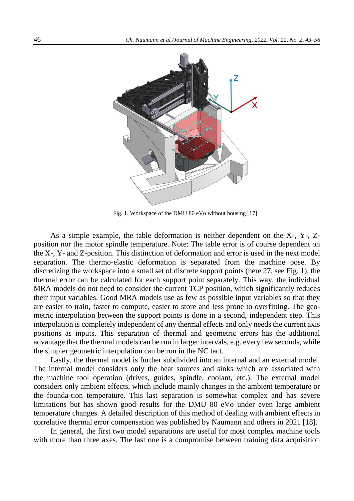

Fig. 1. Workspace of the DMU 80 eVo without housing [17]

As a simple example, the table deformation is neither dependent on the X-, Y-, Zposition nor the motor spindle temperature. Note: The table error is of course dependent on the X-, Y- and Z-position. This distinction of deformation and error is used in the next model separation. The thermo-elastic deformation is separated from the machine pose. By discretizing the workspace into a small set of discrete support points (here 27, see Fig. 1), the thermal error can be calculated for each support point separately. This way, the individual MRA models do not need to consider the current TCP position, which significantly reduces their input variables. Good MRA models use as few as possible input variables so that they are easier to train, faster to compute, easier to store and less prone to overfitting. The geometric interpolation between the support points is done in a second, independent step. This interpolation is completely independent of any thermal effects and only needs the current axis positions as inputs. This separation of thermal and geometric errors has the additional advantage that the thermal models can be run in larger intervals, e.g. every few seconds, while the simpler geometric interpolation can be run in the NC tact.

Lastly, the thermal model is further subdivided into an internal and an external model. The internal model considers only the heat sources and sinks which are associated with the machine tool operation (drives, guides, spindle, coolant, etc.). The external model considers only ambient effects, which include mainly changes in the ambient temperature or the founda-tion temperature. This last separation is somewhat complex and has severe limitations but has shown good results for the DMU 80 eVo under even large ambient temperature changes. A detailed description of this method of dealing with ambient effects in correlative thermal error compensation was published by Naumann and others in 2021 [18].

In general, the first two model separations are useful for most complex machine tools with more than three axes. The last one is a compromise between training data acquisition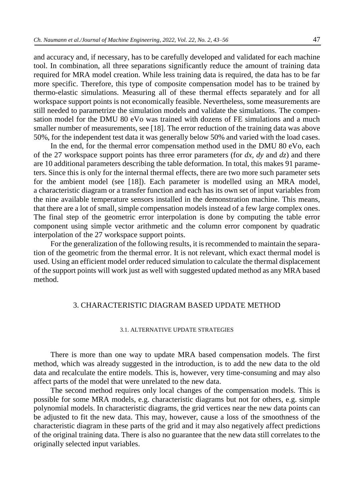and accuracy and, if necessary, has to be carefully developed and validated for each machine tool. In combination, all three separations significantly reduce the amount of training data required for MRA model creation. While less training data is required, the data has to be far more specific. Therefore, this type of composite compensation model has to be trained by thermo-elastic simulations. Measuring all of these thermal effects separately and for all workspace support points is not economically feasible. Nevertheless, some measurements are still needed to parametrize the simulation models and validate the simulations. The compensation model for the DMU 80 eVo was trained with dozens of FE simulations and a much smaller number of measurements, see [18]. The error reduction of the training data was above 50%, for the independent test data it was generally below 50% and varied with the load cases.

In the end, for the thermal error compensation method used in the DMU 80 eVo, each of the 27 workspace support points has three error parameters (for *dx*, *dy* and *dz*) and there are 10 additional parameters describing the table deformation. In total, this makes 91 parameters. Since this is only for the internal thermal effects, there are two more such parameter sets for the ambient model (see [18]). Each parameter is modelled using an MRA model, a characteristic diagram or a transfer function and each has its own set of input variables from the nine available temperature sensors installed in the demonstration machine. This means, that there are a lot of small, simple compensation models instead of a few large complex ones. The final step of the geometric error interpolation is done by computing the table error component using simple vector arithmetic and the column error component by quadratic interpolation of the 27 workspace support points.

For the generalization of the following results, it is recommended to maintain the separation of the geometric from the thermal error. It is not relevant, which exact thermal model is used. Using an efficient model order reduced simulation to calculate the thermal displacement of the support points will work just as well with suggested updated method as any MRA based method.

## 3. CHARACTERISTIC DIAGRAM BASED UPDATE METHOD

### 3.1. ALTERNATIVE UPDATE STRATEGIES

There is more than one way to update MRA based compensation models. The first method, which was already suggested in the introduction, is to add the new data to the old data and recalculate the entire models. This is, however, very time-consuming and may also affect parts of the model that were unrelated to the new data.

The second method requires only local changes of the compensation models. This is possible for some MRA models, e.g. characteristic diagrams but not for others, e.g. simple polynomial models. In characteristic diagrams, the grid vertices near the new data points can be adjusted to fit the new data. This may, however, cause a loss of the smoothness of the characteristic diagram in these parts of the grid and it may also negatively affect predictions of the original training data. There is also no guarantee that the new data still correlates to the originally selected input variables.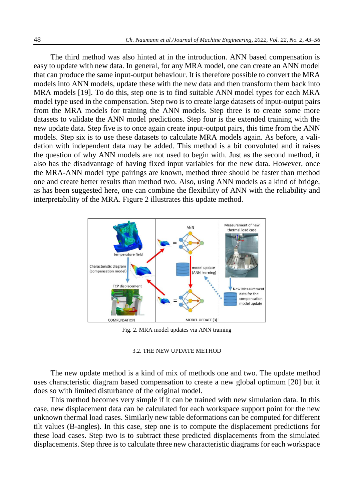The third method was also hinted at in the introduction. ANN based compensation is easy to update with new data. In general, for any MRA model, one can create an ANN model that can produce the same input-output behaviour. It is therefore possible to convert the MRA models into ANN models, update these with the new data and then transform them back into MRA models [19]. To do this, step one is to find suitable ANN model types for each MRA model type used in the compensation. Step two is to create large datasets of input-output pairs from the MRA models for training the ANN models. Step three is to create some more datasets to validate the ANN model predictions. Step four is the extended training with the new update data. Step five is to once again create input-output pairs, this time from the ANN models. Step six is to use these datasets to calculate MRA models again. As before, a validation with independent data may be added. This method is a bit convoluted and it raises the question of why ANN models are not used to begin with. Just as the second method, it also has the disadvantage of having fixed input variables for the new data. However, once the MRA-ANN model type pairings are known, method three should be faster than method one and create better results than method two. Also, using ANN models as a kind of bridge, as has been suggested here, one can combine the flexibility of ANN with the reliability and interpretability of the MRA. Figure 2 illustrates this update method.



Fig. 2. MRA model updates via ANN training

#### 3.2. THE NEW UPDATE METHOD

The new update method is a kind of mix of methods one and two. The update method uses characteristic diagram based compensation to create a new global optimum [20] but it does so with limited disturbance of the original model.

This method becomes very simple if it can be trained with new simulation data. In this case, new displacement data can be calculated for each workspace support point for the new unknown thermal load cases. Similarly new table deformations can be computed for different tilt values (B-angles). In this case, step one is to compute the displacement predictions for these load cases. Step two is to subtract these predicted displacements from the simulated displacements. Step three is to calculate three new characteristic diagrams for each workspace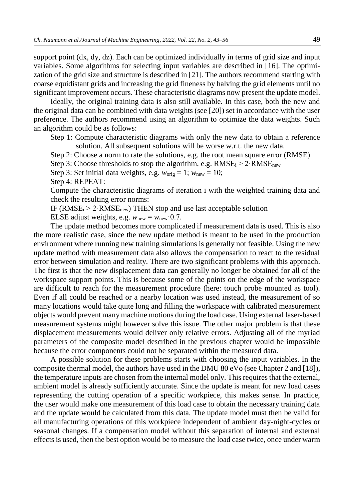support point (dx, dy, dz). Each can be optimized individually in terms of grid size and input variables. Some algorithms for selecting input variables are described in [16]. The optimization of the grid size and structure is described in [21]. The authors recommend starting with coarse equidistant grids and increasing the grid fineness by halving the grid elements until no significant improvement occurs. These characteristic diagrams now present the update model.

Ideally, the original training data is also still available. In this case, both the new and the original data can be combined with data weights (see [20]) set in accordance with the user preference. The authors recommend using an algorithm to optimize the data weights. Such an algorithm could be as follows:

Step 1: Compute characteristic diagrams with only the new data to obtain a reference solution. All subsequent solutions will be worse w.r.t. the new data.

Step 2: Choose a norm to rate the solutions, e.g. the root mean square error (RMSE)

Step 3: Choose thresholds to stop the algorithm, e.g.  $RMSE_i > 2 \cdot RMSE_{new}$ 

Step 3: Set initial data weights, e.g.  $w_{\text{orig}} = 1$ ;  $w_{\text{new}} = 10$ ;

Step 4: REPEAT:

Compute the characteristic diagrams of iteration i with the weighted training data and check the resulting error norms:

IF ( $RMSE_i > 2$ ·RMS $E_{new}$ ) THEN stop and use last acceptable solution

ELSE adjust weights, e.g.  $w_{\text{new}} = w_{\text{new}} \cdot 0.7$ .

The update method becomes more complicated if measurement data is used. This is also the more realistic case, since the new update method is meant to be used in the production environment where running new training simulations is generally not feasible. Using the new update method with measurement data also allows the compensation to react to the residual error between simulation and reality. There are two significant problems with this approach. The first is that the new displacement data can generally no longer be obtained for all of the workspace support points. This is because some of the points on the edge of the workspace are difficult to reach for the measurement procedure (here: touch probe mounted as tool). Even if all could be reached or a nearby location was used instead, the measurement of so many locations would take quite long and filling the workspace with calibrated measurement objects would prevent many machine motions during the load case. Using external laser-based measurement systems might however solve this issue. The other major problem is that these displacement measurements would deliver only relative errors. Adjusting all of the myriad parameters of the composite model described in the previous chapter would be impossible because the error components could not be separated within the measured data.

A possible solution for these problems starts with choosing the input variables. In the composite thermal model, the authors have used in the DMU 80 eVo (see Chapter 2 and [18]), the temperature inputs are chosen from the internal model only. This requires that the external, ambient model is already sufficiently accurate. Since the update is meant for new load cases representing the cutting operation of a specific workpiece, this makes sense. In practice, the user would make one measurement of this load case to obtain the necessary training data and the update would be calculated from this data. The update model must then be valid for all manufacturing operations of this workpiece independent of ambient day-night-cycles or seasonal changes. If a compensation model without this separation of internal and external effects is used, then the best option would be to measure the load case twice, once under warm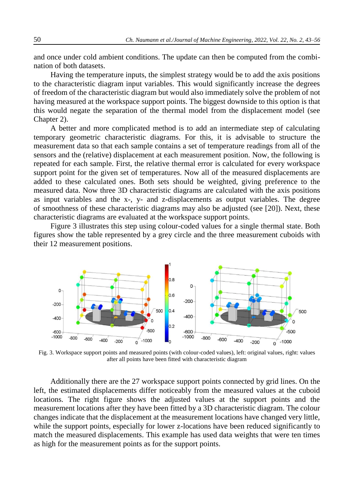and once under cold ambient conditions. The update can then be computed from the combination of both datasets.

Having the temperature inputs, the simplest strategy would be to add the axis positions to the characteristic diagram input variables. This would significantly increase the degrees of freedom of the characteristic diagram but would also immediately solve the problem of not having measured at the workspace support points. The biggest downside to this option is that this would negate the separation of the thermal model from the displacement model (see Chapter 2).

A better and more complicated method is to add an intermediate step of calculating temporary geometric characteristic diagrams. For this, it is advisable to structure the measurement data so that each sample contains a set of temperature readings from all of the sensors and the (relative) displacement at each measurement position. Now, the following is repeated for each sample. First, the relative thermal error is calculated for every workspace support point for the given set of temperatures. Now all of the measured displacements are added to these calculated ones. Both sets should be weighted, giving preference to the measured data. Now three 3D characteristic diagrams are calculated with the axis positions as input variables and the x-, y- and z-displacements as output variables. The degree of smoothness of these characteristic diagrams may also be adjusted (see [20]). Next, these characteristic diagrams are evaluated at the workspace support points.

Figure 3 illustrates this step using colour-coded values for a single thermal state. Both figures show the table represented by a grey circle and the three measurement cuboids with their 12 measurement positions.



Fig. 3. Workspace support points and measured points (with colour-coded values), left: original values, right: values after all points have been fitted with characteristic diagram

Additionally there are the 27 workspace support points connected by grid lines. On the left, the estimated displacements differ noticeably from the measured values at the cuboid locations. The right figure shows the adjusted values at the support points and the measurement locations after they have been fitted by a 3D characteristic diagram. The colour changes indicate that the displacement at the measurement locations have changed very little, while the support points, especially for lower z-locations have been reduced significantly to match the measured displacements. This example has used data weights that were ten times as high for the measurement points as for the support points.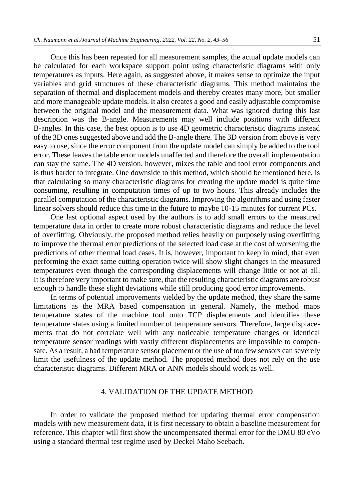Once this has been repeated for all measurement samples, the actual update models can be calculated for each workspace support point using characteristic diagrams with only temperatures as inputs. Here again, as suggested above, it makes sense to optimize the input variables and grid structures of these characteristic diagrams. This method maintains the separation of thermal and displacement models and thereby creates many more, but smaller and more manageable update models. It also creates a good and easily adjustable compromise between the original model and the measurement data. What was ignored during this last description was the B-angle. Measurements may well include positions with different B-angles. In this case, the best option is to use 4D geometric characteristic diagrams instead of the 3D ones suggested above and add the B-angle there. The 3D version from above is very easy to use, since the error component from the update model can simply be added to the tool error. These leaves the table error models unaffected and therefore the overall implementation can stay the same. The 4D version, however, mixes the table and tool error components and is thus harder to integrate. One downside to this method, which should be mentioned here, is that calculating so many characteristic diagrams for creating the update model is quite time consuming, resulting in computation times of up to two hours. This already includes the parallel computation of the characteristic diagrams. Improving the algorithms and using faster linear solvers should reduce this time in the future to maybe 10-15 minutes for current PCs.

One last optional aspect used by the authors is to add small errors to the measured temperature data in order to create more robust characteristic diagrams and reduce the level of overfitting. Obviously, the proposed method relies heavily on purposely using overfitting to improve the thermal error predictions of the selected load case at the cost of worsening the predictions of other thermal load cases. It is, however, important to keep in mind, that even performing the exact same cutting operation twice will show slight changes in the measured temperatures even though the corresponding displacements will change little or not at all. It is therefore very important to make sure, that the resulting characteristic diagrams are robust enough to handle these slight deviations while still producing good error improvements.

In terms of potential improvements yielded by the update method, they share the same limitations as the MRA based compensation in general. Namely, the method maps temperature states of the machine tool onto TCP displacements and identifies these temperature states using a limited number of temperature sensors. Therefore, large displacements that do not correlate well with any noticeable temperature changes or identical temperature sensor readings with vastly different displacements are impossible to compensate. As a result, a bad temperature sensor placement or the use of too few sensors can severely limit the usefulness of the update method. The proposed method does not rely on the use characteristic diagrams. Different MRA or ANN models should work as well.

### 4. VALIDATION OF THE UPDATE METHOD

In order to validate the proposed method for updating thermal error compensation models with new measurement data, it is first necessary to obtain a baseline measurement for reference. This chapter will first show the uncompensated thermal error for the DMU 80 eVo using a standard thermal test regime used by Deckel Maho Seebach.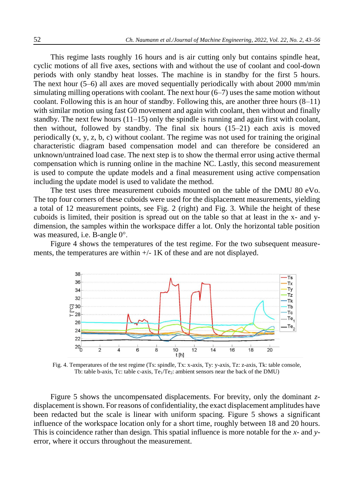This regime lasts roughly 16 hours and is air cutting only but contains spindle heat, cyclic motions of all five axes, sections with and without the use of coolant and cool-down periods with only standby heat losses. The machine is in standby for the first 5 hours. The next hour (5–6) all axes are moved sequentially periodically with about 2000 mm/min simulating milling operations with coolant. The next hour (6–7) uses the same motion without coolant. Following this is an hour of standby. Following this, are another three hours (8–11) with similar motion using fast G0 movement and again with coolant, then without and finally standby. The next few hours  $(11-15)$  only the spindle is running and again first with coolant, then without, followed by standby. The final six hours (15–21) each axis is moved periodically (x, y, z, b, c) without coolant. The regime was not used for training the original characteristic diagram based compensation model and can therefore be considered an unknown/untrained load case. The next step is to show the thermal error using active thermal compensation which is running online in the machine NC. Lastly, this second measurement is used to compute the update models and a final measurement using active compensation including the update model is used to validate the method.

The test uses three measurement cuboids mounted on the table of the DMU 80 eVo. The top four corners of these cuboids were used for the displacement measurements, yielding a total of 12 measurement points, see Fig. 2 (right) and Fig. 3. While the height of these cuboids is limited, their position is spread out on the table so that at least in the x- and ydimension, the samples within the workspace differ a lot. Only the horizontal table position was measured, i.e. B-angle 0°.

Figure 4 shows the temperatures of the test regime. For the two subsequent measurements, the temperatures are within  $+/- 1K$  of these and are not displayed.



Fig. 4. Temperatures of the test regime (Ts: spindle, Tx: x-axis, Ty: y-axis, Tz: z-axis, Tk: table console, Tb: table b-axis, Tc: table c-axis,  $Te_1/Te_2$ : ambient sensors near the back of the DMU)

Figure 5 shows the uncompensated displacements. For brevity, only the dominant *z*displacement is shown. For reasons of confidentiality, the exact displacement amplitudes have been redacted but the scale is linear with uniform spacing. Figure 5 shows a significant influence of the workspace location only for a short time, roughly between 18 and 20 hours. This is coincidence rather than design. This spatial influence is more notable for the *x*- and *y*error, where it occurs throughout the measurement.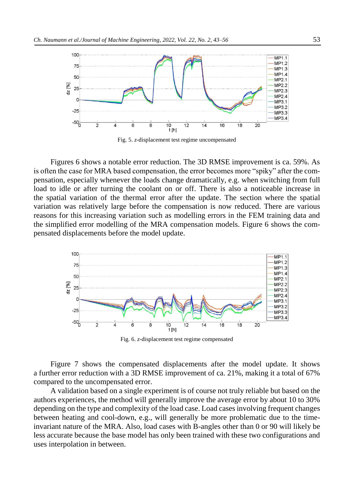

Fig. 5. *z*-displacement test regime uncompensated

Figures 6 shows a notable error reduction. The 3D RMSE improvement is ca. 59%. As is often the case for MRA based compensation, the error becomes more "spiky" after the compensation, especially whenever the loads change dramatically, e.g. when switching from full load to idle or after turning the coolant on or off. There is also a noticeable increase in the spatial variation of the thermal error after the update. The section where the spatial variation was relatively large before the compensation is now reduced. There are various reasons for this increasing variation such as modelling errors in the FEM training data and the simplified error modelling of the MRA compensation models. Figure 6 shows the compensated displacements before the model update.



Fig. 6. *z*-displacement test regime compensated

Figure 7 shows the compensated displacements after the model update. It shows a further error reduction with a 3D RMSE improvement of ca. 21%, making it a total of 67% compared to the uncompensated error.

A validation based on a single experiment is of course not truly reliable but based on the authors experiences, the method will generally improve the average error by about 10 to 30% depending on the type and complexity of the load case. Load cases involving frequent changes between heating and cool-down, e.g., will generally be more problematic due to the timeinvariant nature of the MRA. Also, load cases with B-angles other than 0 or 90 will likely be less accurate because the base model has only been trained with these two configurations and uses interpolation in between.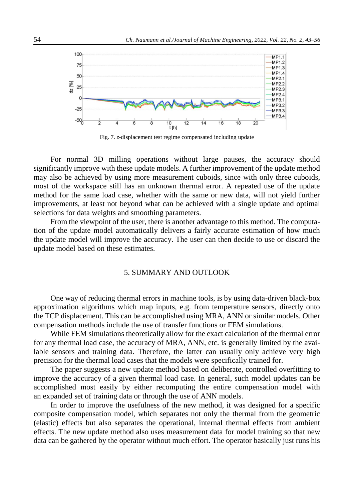

Fig. 7. *z*-displacement test regime compensated including update

For normal 3D milling operations without large pauses, the accuracy should significantly improve with these update models. A further improvement of the update method may also be achieved by using more measurement cuboids, since with only three cuboids, most of the workspace still has an unknown thermal error. A repeated use of the update method for the same load case, whether with the same or new data, will not yield further improvements, at least not beyond what can be achieved with a single update and optimal selections for data weights and smoothing parameters.

From the viewpoint of the user, there is another advantage to this method. The computation of the update model automatically delivers a fairly accurate estimation of how much the update model will improve the accuracy. The user can then decide to use or discard the update model based on these estimates.

## 5. SUMMARY AND OUTLOOK

One way of reducing thermal errors in machine tools, is by using data-driven black-box approximation algorithms which map inputs, e.g. from temperature sensors, directly onto the TCP displacement. This can be accomplished using MRA, ANN or similar models. Other compensation methods include the use of transfer functions or FEM simulations.

While FEM simulations theoretically allow for the exact calculation of the thermal error for any thermal load case, the accuracy of MRA, ANN, etc. is generally limited by the available sensors and training data. Therefore, the latter can usually only achieve very high precision for the thermal load cases that the models were specifically trained for.

The paper suggests a new update method based on deliberate, controlled overfitting to improve the accuracy of a given thermal load case. In general, such model updates can be accomplished most easily by either recomputing the entire compensation model with an expanded set of training data or through the use of ANN models.

In order to improve the usefulness of the new method, it was designed for a specific composite compensation model, which separates not only the thermal from the geometric (elastic) effects but also separates the operational, internal thermal effects from ambient effects. The new update method also uses measurement data for model training so that new data can be gathered by the operator without much effort. The operator basically just runs his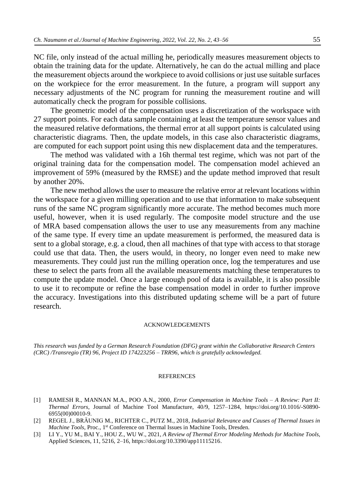NC file, only instead of the actual milling he, periodically measures measurement objects to obtain the training data for the update. Alternatively, he can do the actual milling and place the measurement objects around the workpiece to avoid collisions or just use suitable surfaces on the workpiece for the error measurement. In the future, a program will support any necessary adjustments of the NC program for running the measurement routine and will automatically check the program for possible collisions.

The geometric model of the compensation uses a discretization of the workspace with 27 support points. For each data sample containing at least the temperature sensor values and the measured relative deformations, the thermal error at all support points is calculated using characteristic diagrams. Then, the update models, in this case also characteristic diagrams, are computed for each support point using this new displacement data and the temperatures.

The method was validated with a 16h thermal test regime, which was not part of the original training data for the compensation model. The compensation model achieved an improvement of 59% (measured by the RMSE) and the update method improved that result by another 20%.

The new method allows the user to measure the relative error at relevant locations within the workspace for a given milling operation and to use that information to make subsequent runs of the same NC program significantly more accurate. The method becomes much more useful, however, when it is used regularly. The composite model structure and the use of MRA based compensation allows the user to use any measurements from any machine of the same type. If every time an update measurement is performed, the measured data is sent to a global storage, e.g. a cloud, then all machines of that type with access to that storage could use that data. Then, the users would, in theory, no longer even need to make new measurements. They could just run the milling operation once, log the temperatures and use these to select the parts from all the available measurements matching these temperatures to compute the update model. Once a large enough pool of data is available, it is also possible to use it to recompute or refine the base compensation model in order to further improve the accuracy. Investigations into this distributed updating scheme will be a part of future research.

#### ACKNOWLEDGEMENTS

*This research was funded by a German Research Foundation (DFG) grant within the Collaborative Research Centers (CRC) /Transregio (TR) 96, Project ID 174223256 – TRR96, which is gratefully acknowledged.*

#### **REFERENCES**

- [1] RAMESH R., MANNAN M.A., POO A.N., 2000, *Error Compensation in Machine Tools – A Review: Part II: Thermal Errors*, Journal of Machine Tool Manufacture, 40/9, 1257–1284, [https://doi.org/10.1016/-S0890-](https://doi.org/10.1016/-S0890-6955(00)00010-9) [6955\(00\)00010-9.](https://doi.org/10.1016/-S0890-6955(00)00010-9)
- [2] REGEL J., BRÄUNIG M., RICHTER C., PUTZ M., 2018*, Industrial Relevance and Causes of Thermal Issues in*  Machine Tools, Proc., 1<sup>st</sup> Conference on Thermal Issues in Machine Tools, Dresden.
- [3] LI Y., YU M., BAI Y., HOU Z., WU W., 2021, *A Review of Thermal Error Modeling Methods for Machine Tools*, Applied Sciences, 11, 5216, 2–16, [https://doi.org/10.3390/app11115216.](https://doi.org/10.3390/app11115216)